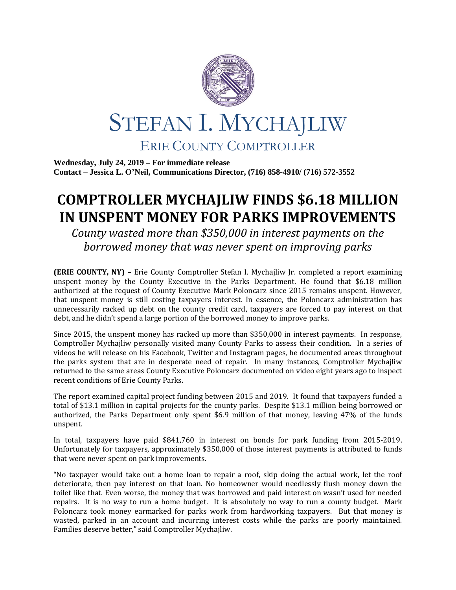

**Wednesday, July 24, 2019 – For immediate release Contact – Jessica L. O'Neil, Communications Director, (716) 858-4910/ (716) 572-3552**

## **COMPTROLLER MYCHAJLIW FINDS \$6.18 MILLION IN UNSPENT MONEY FOR PARKS IMPROVEMENTS**

*County wasted more than \$350,000 in interest payments on the borrowed money that was never spent on improving parks*

**(ERIE COUNTY, NY) –** Erie County Comptroller Stefan I. Mychajliw Jr. completed a report examining unspent money by the County Executive in the Parks Department. He found that \$6.18 million authorized at the request of County Executive Mark Poloncarz since 2015 remains unspent. However, that unspent money is still costing taxpayers interest. In essence, the Poloncarz administration has unnecessarily racked up debt on the county credit card, taxpayers are forced to pay interest on that debt, and he didn't spend a large portion of the borrowed money to improve parks.

Since 2015, the unspent money has racked up more than \$350,000 in interest payments. In response, Comptroller Mychajliw personally visited many County Parks to assess their condition. In a series of videos he will release on his Facebook, Twitter and Instagram pages, he documented areas throughout the parks system that are in desperate need of repair. In many instances, Comptroller Mychajliw returned to the same areas County Executive Poloncarz documented on video eight years ago to inspect recent conditions of Erie County Parks.

The report examined capital project funding between 2015 and 2019. It found that taxpayers funded a total of \$13.1 million in capital projects for the county parks. Despite \$13.1 million being borrowed or authorized, the Parks Department only spent \$6.9 million of that money, leaving 47% of the funds unspent.

In total, taxpayers have paid \$841,760 in interest on bonds for park funding from 2015-2019. Unfortunately for taxpayers, approximately \$350,000 of those interest payments is attributed to funds that were never spent on park improvements.

"No taxpayer would take out a home loan to repair a roof, skip doing the actual work, let the roof deteriorate, then pay interest on that loan. No homeowner would needlessly flush money down the toilet like that. Even worse, the money that was borrowed and paid interest on wasn't used for needed repairs. It is no way to run a home budget. It is absolutely no way to run a county budget. Mark Poloncarz took money earmarked for parks work from hardworking taxpayers. But that money is wasted, parked in an account and incurring interest costs while the parks are poorly maintained. Families deserve better," said Comptroller Mychajliw.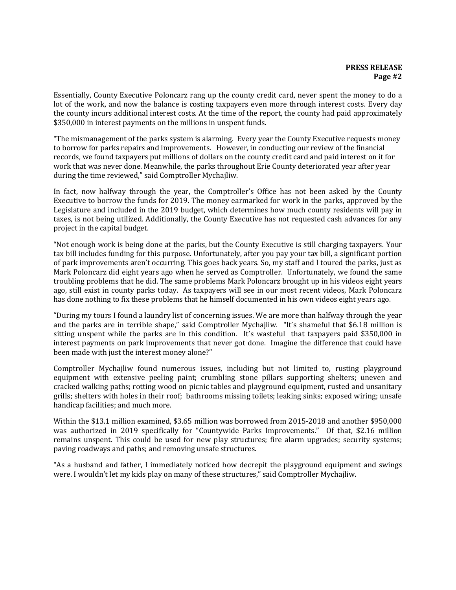Essentially, County Executive Poloncarz rang up the county credit card, never spent the money to do a lot of the work, and now the balance is costing taxpayers even more through interest costs. Every day the county incurs additional interest costs. At the time of the report, the county had paid approximately \$350,000 in interest payments on the millions in unspent funds.

"The mismanagement of the parks system is alarming. Every year the County Executive requests money to borrow for parks repairs and improvements. However, in conducting our review of the financial records, we found taxpayers put millions of dollars on the county credit card and paid interest on it for work that was never done. Meanwhile, the parks throughout Erie County deteriorated year after year during the time reviewed," said Comptroller Mychajliw.

In fact, now halfway through the year, the Comptroller's Office has not been asked by the County Executive to borrow the funds for 2019. The money earmarked for work in the parks, approved by the Legislature and included in the 2019 budget, which determines how much county residents will pay in taxes, is not being utilized. Additionally, the County Executive has not requested cash advances for any project in the capital budget.

"Not enough work is being done at the parks, but the County Executive is still charging taxpayers. Your tax bill includes funding for this purpose. Unfortunately, after you pay your tax bill, a significant portion of park improvements aren't occurring. This goes back years. So, my staff and I toured the parks, just as Mark Poloncarz did eight years ago when he served as Comptroller. Unfortunately, we found the same troubling problems that he did. The same problems Mark Poloncarz brought up in his videos eight years ago, still exist in county parks today. As taxpayers will see in our most recent videos, Mark Poloncarz has done nothing to fix these problems that he himself documented in his own videos eight years ago.

"During my tours I found a laundry list of concerning issues. We are more than halfway through the year and the parks are in terrible shape," said Comptroller Mychajliw. "It's shameful that \$6.18 million is sitting unspent while the parks are in this condition. It's wasteful that taxpayers paid \$350,000 in interest payments on park improvements that never got done. Imagine the difference that could have been made with just the interest money alone?"

Comptroller Mychajliw found numerous issues, including but not limited to, rusting playground equipment with extensive peeling paint; crumbling stone pillars supporting shelters; uneven and cracked walking paths; rotting wood on picnic tables and playground equipment, rusted and unsanitary grills; shelters with holes in their roof; bathrooms missing toilets; leaking sinks; exposed wiring; unsafe handicap facilities; and much more.

Within the \$13.1 million examined, \$3.65 million was borrowed from 2015-2018 and another \$950,000 was authorized in 2019 specifically for "Countywide Parks Improvements." Of that, \$2.16 million remains unspent. This could be used for new play structures; fire alarm upgrades; security systems; paving roadways and paths; and removing unsafe structures.

"As a husband and father, I immediately noticed how decrepit the playground equipment and swings were. I wouldn't let my kids play on many of these structures," said Comptroller Mychajliw.